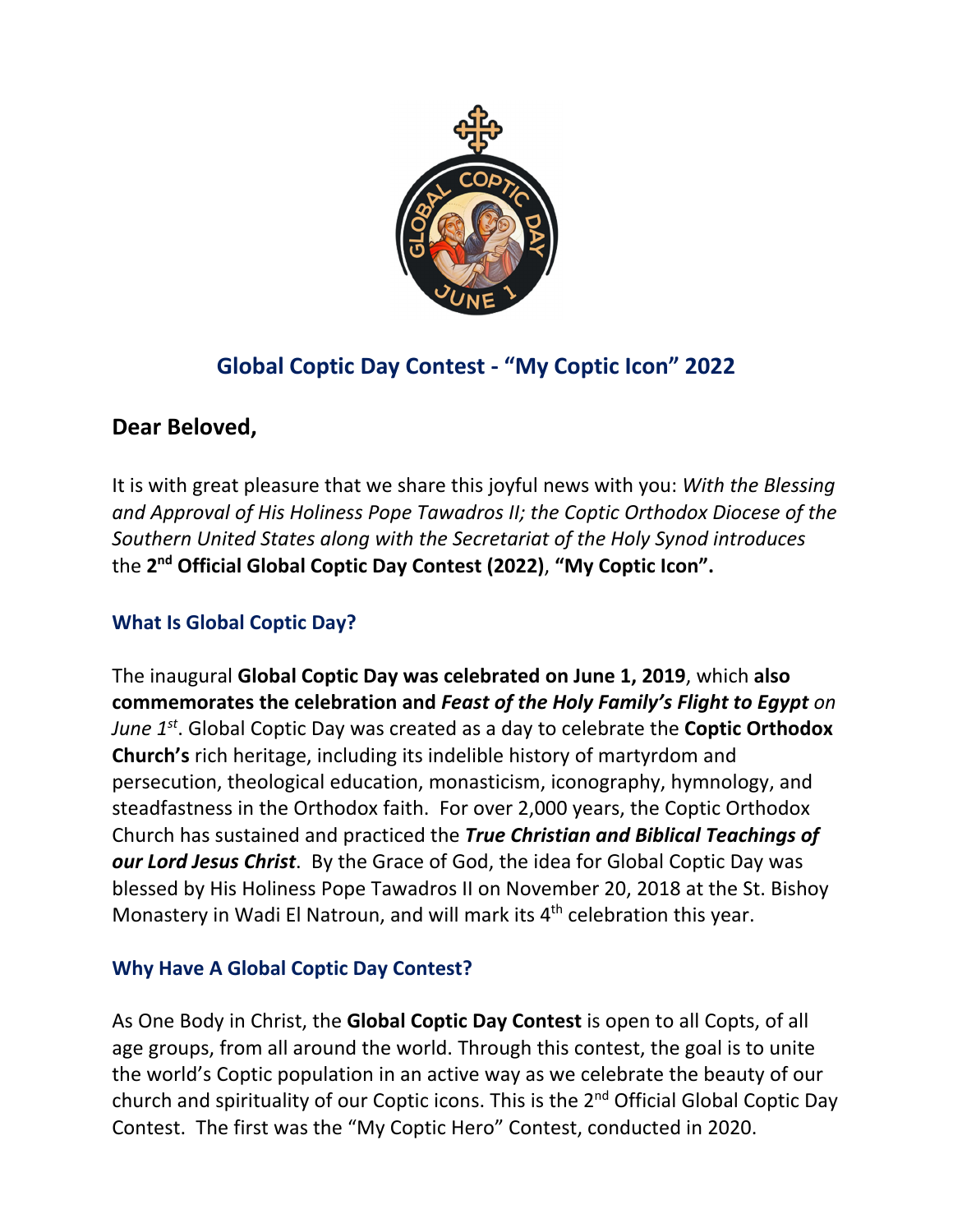

# **Global Coptic Day Contest ‐ "My Coptic Icon" 2022**

## **Dear Beloved,**

It is with great pleasure that we share this joyful news with you: *With the Blessing and Approval of His Holiness Pope Tawadros II; the Coptic Orthodox Diocese of the Southern United States along with the Secretariat of the Holy Synod introduces* the **2nd Official Global Coptic Day Contest (2022)**, **"My Coptic Icon".**

### **What Is Global Coptic Day?**

The inaugural **Global Coptic Day was celebrated on June 1, 2019**, which **also commemorates the celebration and** *Feast of the Holy Family's Flight to Egypt on June 1st*. Global Coptic Day was created as a day to celebrate the **Coptic Orthodox Church's** rich heritage, including its indelible history of martyrdom and persecution, theological education, monasticism, iconography, hymnology, and steadfastness in the Orthodox faith. For over 2,000 years, the Coptic Orthodox Church has sustained and practiced the *True Christian and Biblical Teachings of our Lord Jesus Christ*. By the Grace of God, the idea for Global Coptic Day was blessed by His Holiness Pope Tawadros II on November 20, 2018 at the St. Bishoy Monastery in Wadi El Natroun, and will mark its 4<sup>th</sup> celebration this year.

#### **Why Have A Global Coptic Day Contest?**

As One Body in Christ, the **Global Coptic Day Contest** is open to all Copts, of all age groups, from all around the world. Through this contest, the goal is to unite the world's Coptic population in an active way as we celebrate the beauty of our church and spirituality of our Coptic icons. This is the 2<sup>nd</sup> Official Global Coptic Day Contest. The first was the "My Coptic Hero" Contest, conducted in 2020.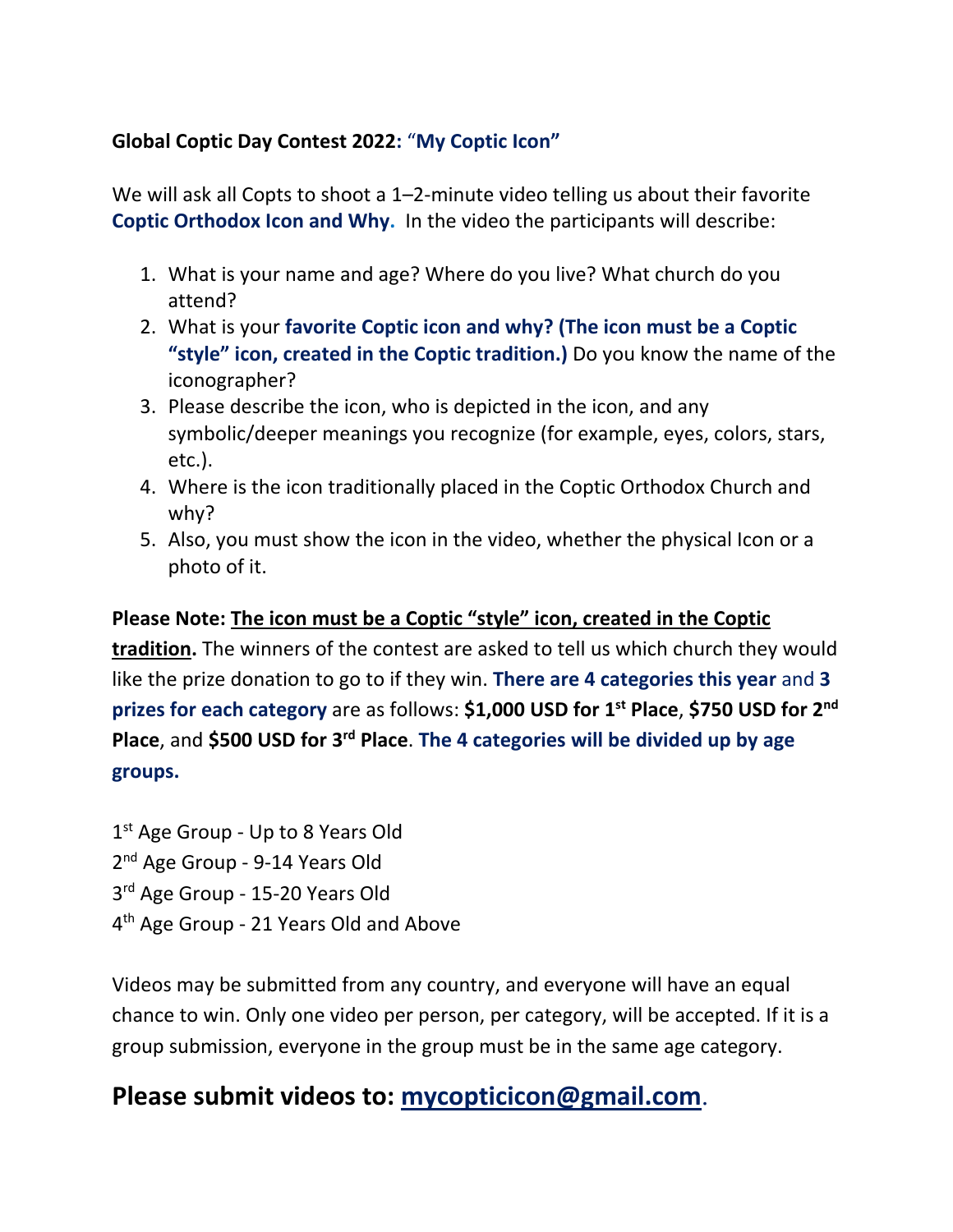#### **Global Coptic Day Contest 2022:** "**My Coptic Icon"**

We will ask all Copts to shoot a 1–2-minute video telling us about their favorite **Coptic Orthodox Icon and Why.** In the video the participants will describe:

- 1. What is your name and age? Where do you live? What church do you attend?
- 2. What is your **favorite Coptic icon and why? (The icon must be a Coptic "style" icon, created in the Coptic tradition.)** Do you know the name of the iconographer?
- 3. Please describe the icon, who is depicted in the icon, and any symbolic/deeper meanings you recognize (for example, eyes, colors, stars, etc.).
- 4. Where is the icon traditionally placed in the Coptic Orthodox Church and why?
- 5. Also, you must show the icon in the video, whether the physical Icon or a photo of it.

**Please Note: The icon must be a Coptic "style" icon, created in the Coptic tradition.** The winners of the contest are asked to tell us which church they would like the prize donation to go to if they win. **There are 4 categories this year** and **3 prizes for each category** are as follows: **\$1,000 USD for 1st Place**, **\$750 USD for 2nd Place**, and **\$500 USD for 3rd Place**. **The 4 categories will be divided up by age groups.** 

1<sup>st</sup> Age Group - Up to 8 Years Old 2<sup>nd</sup> Age Group - 9-14 Years Old 3rd Age Group ‐ 15‐20 Years Old 4th Age Group ‐ 21 Years Old and Above

Videos may be submitted from any country, and everyone will have an equal chance to win. Only one video per person, per category, will be accepted. If it is a group submission, everyone in the group must be in the same age category.

# **Please submit videos to: mycopticicon@gmail.com**.